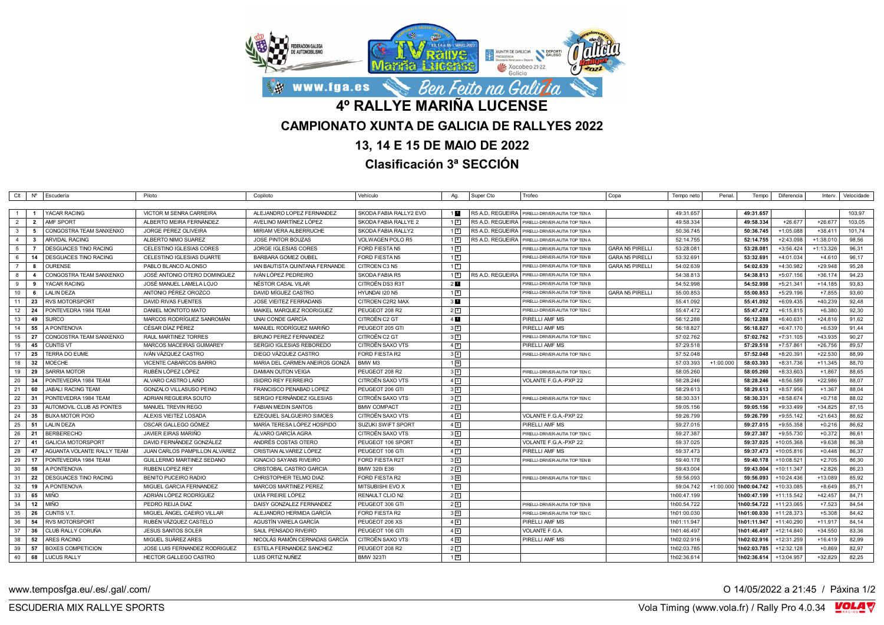

## **13, 14 E 15 DE MAIO DE 2022**

**Clasificación 3ª SECCIÓN**

|                |                | Clt Nº Escudería              | Piloto                         | Copiloto                       | Vehículo                | Ag.               | Super Cto        | Trofeo                                            | Copa<br>Tempo neto                  | Penal.      | Tempo                 | Diferencia   |             | Interv.   Velocidade |
|----------------|----------------|-------------------------------|--------------------------------|--------------------------------|-------------------------|-------------------|------------------|---------------------------------------------------|-------------------------------------|-------------|-----------------------|--------------|-------------|----------------------|
|                |                |                               |                                |                                |                         |                   |                  |                                                   |                                     |             |                       |              |             |                      |
|                |                | <b>YACAR RACING</b>           | VICTOR M SENRA CARREIRA        | ALEJANDRO LOPEZ FERNANDEZ      | SKODA FABIA RALLY2 EVO  | 1 <b>D</b>        |                  | R5 A.D. REGUEIRA   PIRELLI-DRIVER-AUTIA TOP TEN A | 49:31.657                           |             | 49:31.657             |              |             | 103,97               |
| $\overline{2}$ | $\overline{2}$ | AMF SPORT                     | ALBERTO MEIRA FERNÁNDEZ        | AVELINO MARTÍNEZ LÓPEZ         | SKODA FABIA RALLYE 2    | $1\vert 2 \vert$  |                  | R5 A.D. REGUEIRA   PIRELLI-DRIVER-AUTIA TOP TEN A | 49:58.334                           |             | 49:58.334             | $+26.677$    | $+26.677$   | 103,05               |
| $\mathbf{3}$   | 5              | CONGOSTRA TEAM SANXENXO       | JORGE PEREZ OLIVEIRA           | MIRIAM VERA ALBERRUCHE         | SKODA FABIA RALLY2      | 1 <sup>3</sup>    |                  | R5 A.D. REGUEIRA   PIRELLI-DRIVER-AUTIA TOP TEN A | 50:36.745                           |             | 50:36.745             | +1:05.088    | $+38.411$   | 101,74               |
| $\overline{4}$ | $\mathbf{3}$   | <b>ARVIDAL RACING</b>         | ALBERTO NIMO SUAREZ            | <b>JOSE PINTOR BOUZAS</b>      | <b>VOLWAGEN POLO R5</b> | $1 \vert 4 \vert$ | R5 A.D. REGUEIRA | PIRELLI-DRIVER-AUTIA TOP TEN A                    | 52:14.755                           |             | 52:14.755             | $+2:43.098$  | $+1:38.010$ | 98,56                |
| 5              |                | <b>DESGUACES TINO RACING</b>  | CELESTINO IGLESIAS CORES       | <b>JORGE IGLESIAS CORES</b>    | FORD FIESTA N5          | 15                |                  | PIRELLI-DRIVER-AUTIA TOP TEN B                    | <b>GARA N5 PIRELLI</b><br>53:28.081 |             | 53:28.081             | $+3:56.424$  | $+1:13.326$ | 96,31                |
| 6              |                | 14   DESGUACES TINO RACING    | CELESTINO IGLESIAS DUARTE      | <b>BARBARA GOMEZ OUBEL</b>     | FORD FIESTA N5          | 16                |                  | PIRELLI-DRIVER-AUTIA TOP TEN B                    | <b>GARA N5 PIRELLI</b><br>53:32.691 |             | 53:32.691             | +4:01.034    | $+4.610$    | 96,17                |
| $\overline{7}$ | 8              | <b>OURENSE</b>                | PABLO BLANCO ALONSO            | IAN BAUTISTA QUINTANA FERNANDE | CITROEN C3 N5           | $1\sqrt{7}$       |                  | PIRELLI-DRIVER-AUTIA TOP TEN B                    | <b>GARA N5 PIRELLI</b><br>54:02.639 |             | 54:02.639             | +4:30.982    | $+29.948$   | 95,28                |
| 8              | $\Delta$       | CONGOSTRA TEAM SANXENXO       | JOSÉ ANTONIO OTERO DOMINGUEZ   | IVÁN LÓPEZ PEDREIRO            | SKODA FABIA R5          | 1 <sub>8</sub>    |                  | R5 A.D. REGUEIRA   PIRELLI-DRIVER-AUTIA TOP TEN A | 54:38.813                           |             | 54:38.813             | $+5:07.156$  | $+36.174$   | 94.23                |
| 9              | -9             | YACAR RACING                  | JOSÉ MANUEL LAMELA LOJO        | NÉSTOR CASAL VILAR             | CITROËN DS3 R31         | 2 <sub>1</sub>    |                  | PIRELLI-DRIVER-AUTIA TOP TEN B                    | 54:52.998                           |             | 54:52.998             | $+5:21.341$  | $+14.185$   | 93,83                |
| 10             | 6              | <b>LALIN DEZA</b>             | ANTONIO PÉREZ OROZCO           | DAVID MÍGUEZ CASTRO            | HYUNDAI I20 N5          | 19                |                  | PIRELLI-DRIVER-AUTIA TOP TEN B                    | GARA N5 PIRELLI<br>55:00.853        |             | 55:00.853             | $+5:29.196$  | $+7.855$    | 93,60                |
| 11             |                | 23 RVS MOTORSPORT             | <b>DAVID RIVAS FUENTES</b>     | JOSE VIEITEZ FERRADANS         | CITROEN C2R2 MAX        | $3 \blacksquare$  |                  | PIRELLI-DRIVER-AUTIA TOP TEN C                    | 55:41.092                           |             | 55:41.092             | $+6:09.435$  | $+40.239$   | 92,48                |
| 12             | 24             | PONTEVEDRA 1984 TEAM          | DANIEL MONTOTO MATO            | MAIKEL MARQUEZ RODRIGUEZ       | PEUGEOT 208 R2          | 22                |                  | PIRELLI-DRIVER-AUTIA TOP TEN C                    | 55:47.472                           |             | 55:47.472             | $+6:15.815$  | $+6.380$    | 92,30                |
| 13             | 49             | <b>SURCO</b>                  | MARCOS RODRÍGUEZ SANROMÁN      | UNAI CONDE GARCÍA              | CITROËN C2 GT           | 4                 |                  | PIRELLI AMF MS                                    | 56:12.288                           |             | 56:12.288             | +6:40.631    | $+24.816$   | 91,62                |
| 14             | 55             | A PONTENOVA                   | CÉSAR DÍAZ PÉREZ               | MANUEL RODRÍGUEZ MARIÑO        | PEUGEOT 205 GTI         | 3 <sup>2</sup>    |                  | PIRELLI AMF MS                                    | 56:18.827                           |             | 56:18.827             | $+6:47.170$  | $+6.539$    | 91,44                |
| 15             | 27             | CONGOSTRA TEAM SANXENXO       | RAUL MARTINEZ TORRES           | <b>BRUNO PEREZ FERNANDEZ</b>   | CITROËN C2 GT           | 3 <sup>3</sup>    |                  | PIRELLI-DRIVER-AUTIA TOP TEN C                    | 57:02.762                           |             | 57:02.762             | $+7:31.105$  | +43.935     | 90,27                |
| 16             |                | 45 CUNTIS VT                  | MARCOS MACEIRAS GUIMAREY       | SERGIO IGLESIAS REBOREDO       | CITROËN SAXO VTS        | $4\sqrt{2}$       |                  | PIRELLI AMF MS                                    | 57:29.518                           |             | 57:29.518             | $+7:57.861$  | $+26.756$   | 89.57                |
| 17             |                | 25   TERRA DO EUME            | IVÁN VÁZQUEZ CASTRO            | DIEGO VÁZQUEZ CASTRO           | FORD FIESTA R2          | $3\sqrt{4}$       |                  | PIRELLI-DRIVER-AUTIA TOP TEN C                    | 57:52.048                           |             | 57:52.048             | +8:20.391    | $+22.530$   | 88,99                |
| 18             | 32             | <b>MOECHE</b>                 | VICENTE CABARCOS BARRO         | MARIA DEL CARMEN ANEIROS GONZÁ | <b>BMW M3</b>           | 110               |                  |                                                   | 57:03.393                           | $+1:00.000$ | 58:03.393             | +8:31.736    | $+11.345$   | 88,70                |
| 19             | 29             | <b>SARRIA MOTOR</b>           | RUBÉN LÓPEZ LÓPEZ              | <b>DAMIAN OUTON VEIGA</b>      | PEUGEOT 208 R2          | 35                |                  | PIRELLI-DRIVER-AUTIA TOP TEN C                    | 58:05.260                           |             | 58:05.260             | $+8:33.603$  | $+1.867$    | 88.65                |
| 20             | -34            | PONTEVEDRA 1984 TEAM          | ALVARO CASTRO LAIÑO            | <b>ISIDRO REY FERREIRO</b>     | CITROËN SAXO VTS        | 4 <sup>3</sup>    |                  | VOLANTE F.G.A.-PXP 22                             | 58:28.246                           |             | 58:28.246             | +8:56.589    | $+22.986$   | 88,07                |
| 21             | 60             | <b>JABALI RACING TEAM</b>     | <b>GONZALO VILLASUSO PEINO</b> | FRANCISCO PENABAD LOPEZ        | PEUGEOT 206 GTI         | 36                |                  |                                                   | 58:29.613                           |             | 58:29.613             | +8:57.956    | $+1.367$    | 88,04                |
| 22             | -31            | PONTEVEDRA 1984 TEAM          | ADRIAN REGUEIRA SOUTO          | SERGIO FERNÁNDEZ IGLESIAS      | CITROËN SAXO VTS        | $3\sqrt{7}$       |                  | PIRELLI-DRIVER-AUTIA TOP TEN C                    | 58:30.331                           |             | 58:30.331             | +8:58.674    | $+0.718$    | 88,02                |
| 23             |                | 33 AUTOMOVIL CLUB AS PONTES   | MANUEL TREVIN REGO             | <b>FABIAN MEDIN SANTOS</b>     | <b>BMW COMPACT</b>      | 2 <sup>3</sup>    |                  |                                                   | 59:05.156                           |             | 59:05.156             | +9:33.499    | $+34.825$   | 87,15                |
| 24             |                | 35 BUXA MOTOR POIO            | ALEXIS VIEITEZ LOSADA          | EZEQUIEL SALGUEIRO SIMOES      | CITROËN SAXO VTS        | $4\sqrt{4}$       |                  | VOLANTE F.G.A.-PXP 22                             | 59:26.799                           |             | 59:26.799             | $+9:55.142$  | $+21.643$   | 86.62                |
| 25             | 51             | <b>LALIN DEZA</b>             | OSCAR GALLEGO GÓMEZ            | MARÍA TERESA LÓPEZ HOSPIDO     | SUZUKI SWIFT SPORT      | $4\sqrt{5}$       |                  | PIRELLI AMF MS                                    | 59:27.015                           |             | 59:27.015             | +9:55.358    | $+0.216$    | 86,62                |
| 26             | -21            | <b>BERBERECHO</b>             | JAVIER EIRAS MARIÑO            | ÁLVARO GARCÍA AGRA             | CITROËN SAXO VTS        | $3^8$             |                  | PIRELLI-DRIVER-AUTIA TOP TEN C                    | 59:27.387                           |             | 59:27.387             | +9:55.730    | $+0.372$    | 86,61                |
| 27             |                | 41 GALICIA MOTORSPORT         | DAVID FERNÁNDEZ GONZÁLEZ       | ANDRÉS COSTAS OTERO            | PEUGEOT 106 SPORT       | 46                |                  | VOLANTE F.G.A.-PXP 22                             | 59:37.025                           |             | 59:37.025             | +10:05.368   | $+9.638$    | 86,38                |
| 28             |                | 47 AGUANTA VOLANTE RALLY TEAM | JUAN CARLOS PAMPILLON ALVAREZ  | CRISTIAN ALVAREZ LÓPEZ         | PEUGEOT 106 GTI         | 4 <sup>7</sup>    |                  | PIRELLI AMF MS                                    | 59:37.473                           |             | 59:37.473             | +10:05.816   | $+0.448$    | 86,37                |
| 29             |                | 17 PONTEVEDRA 1984 TEAM       | GUILLERMO MARTINEZ SEDANO      | <b>IGNACIO SAYANS RIVEIRO</b>  | <b>FORD FIESTA R2T</b>  | 3 <sup>9</sup>    |                  | PIRELLI-DRIVER-AUTIA TOP TEN B                    | 59:40.178                           |             | 59:40.178             | +10:08.521   | $+2.705$    | 86,30                |
| 30             | 58             | A PONTENOVA                   | RUBEN LOPEZ REY                | CRISTOBAL CASTRO GARCIA        | BMW 320i E36            | $2\sqrt{4}$       |                  |                                                   | 59:43.004                           |             | 59:43.004             | +10:11.347   | $+2.826$    | 86,23                |
| 31             |                | 22   DESGUACES TINO RACING    | BENITO PUCEIRO RADIO           | CHRISTOPHER TELMO DIAZ         | FORD FIESTA R2          | $3\sqrt{10}$      |                  | PIRELLI-DRIVER-AUTIA TOP TEN C                    | 59:56.093                           |             | 59:56.093             | +10:24.436   | $+13.089$   | 85,92                |
| 32             |                | 19 A PONTENOVA                | MIGUEL GARCIA FERNANDEZ        | <b>MARCOS MARTINEZ PEREZ</b>   | MITSUBISHI EVO X        | 111               |                  |                                                   | 59:04.742                           |             | +1:00.000 1h00:04.742 | +10:33.085   | $+8.649$    | 85.71                |
| 33             |                | 65 MIÑO                       | ADRIÁN LÓPEZ RODRIGUEZ         | UXÍA FREIRE LÓPEZ              | RENAULT CLIO N2         | 25                |                  |                                                   | 1h00:47.199                         |             | 1h00:47.199           | $+11:15.542$ | $+42.457$   | 84.71                |
| 34             | 12             | I MIÑO                        | PEDRO REIJA DIAZ               | DAISY GONZALEZ FERNANDEZ       | PEUGEOT 306 GTI         | 26                |                  | PIRELLI-DRIVER-AUTIA TOP TEN B                    | 1h00:54.722                         |             | 1h00:54.722           | +11:23.065   | $+7.523$    | 84,54                |
| 35             |                | 26 CUNTIS V.T.                | MIGUEL ÁNGEL CAEIRO VILLAR     | ALEJANDRO HERMIDA GARCÍA       | FORD FIESTA R2          | 311               |                  | PIRELLI-DRIVER-AUTIA TOP TEN C                    | 1h01:00.030                         |             | 1h01:00.030           | $+11:28.373$ | $+5.308$    | 84,42                |
| 36             | 54             | <b>RVS MOTORSPORT</b>         | RUBÉN VÁZQUEZ CASTELO          | AGUSTÍN VARELA GARCÍA          | PEUGEOT 206 XS          | 4 <sup>8</sup>    |                  | PIRELLI AMF MS                                    | 1h01:11.947                         |             | 1h01:11.947           | +11:40.290   | $+11.917$   | 84,14                |
| 37             |                | 36 CLUB RALLY CORUÑA          | <b>JESUS SANTOS SOLER</b>      | SAUL PENSADO RIVEIRO           | PEUGEOT 106 GTI         | 49                |                  | VOLANTE F.G.A.                                    | 1h01:46.497                         |             | 1h01:46.497           | $+12:14.840$ | $+34.550$   | 83.36                |
| 38             | 52             | <b>ARES RACING</b>            | MIGUEL SUÁREZ ARES             | NICOLÁS RAMÓN CERNADAS GARCÍA  | CITROËN SAXO VTS        | $4\overline{10}$  |                  | PIRELLI AMF MS                                    | 1h02:02.916                         |             | 1h02:02.916           | +12:31.259   | $+16.419$   | 82,99                |
| 39             |                | 57 BOXES COMPETICION          | JOSE LUIS FERNANDEZ RODRIGUEZ  | ESTELA FERNANDEZ SANCHEZ       | PEUGEOT 208 R2          | 2 <sub>7</sub>    |                  |                                                   | 1h02:03.785                         |             | 1h02:03.785           | +12:32.128   | $+0.869$    | 82,97                |
| 40             |                | 68   LUCUS RALLY              | HECTOR GALLEGO CASTRO          | LUIS ORTIZ NUÑEZ               | <b>BMW 323TI</b>        | 112               |                  |                                                   | 1h02:36.614                         |             | 1h02:36.614           | +13:04.957   | $+32.829$   | 82,25                |

www.temposfga.eu/.es/.gal/.com/ **O 14/05/2022** a 21:45 / Páxina 1/2